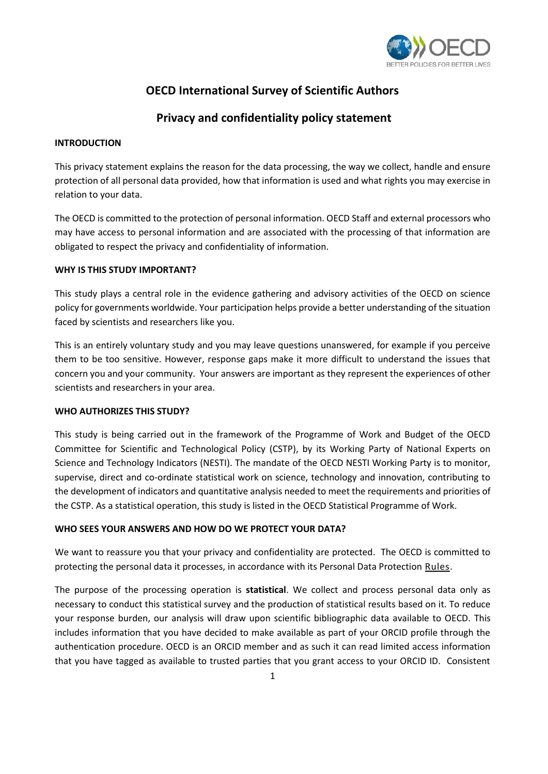

# **OECD International Survey of Scientific Authors**

# **Privacy and confidentiality policy statement**

#### **INTRODUCTION**

This privacy statement explains the reason for the data processing, the way we collect, handle and ensure protection of all personal data provided, how that information is used and what rights you may exercise in relation to your data.

The OECD is committed to the protection of personal information. OECD Staff and external processors who may have access to personal information and are associated with the processing of that information are obligated to respect the privacy and confidentiality of information.

## **WHY IS THIS STUDY IMPORTANT?**

This study plays a central role in the evidence gathering and advisory activities of the OECD on science policy for governments worldwide. Your participation helps provide a better understanding of the situation faced by scientists and researchers like you.

This is an entirely voluntary study and you may leave questions unanswered, for example if you perceive them to be too sensitive. However, response gaps make it more difficult to understand the issues that concern you and your community. Your answers are important as they represent the experiences of other scientists and researchers in your area.

#### **WHO AUTHORIZES THIS STUDY?**

This study is being carried out in the framework of the Programme of Work and Budget of the OECD Committee for Scientific and Technological Policy (CSTP), by its Working Party of National Experts on Science and Technology Indicators (NESTI). The mandate of the OECD NESTI Working Party is to monitor, supervise, direct and co-ordinate statistical work on science, technology and innovation, contributing to the development of indicators and quantitative analysis needed to meet the requirements and priorities of the CSTP. As a statistical operation, this study is listed in the OECD Statistical Programme of Work.

# **WHO SEES YOUR ANSWERS AND HOW DO WE PROTECT YOUR DATA?**

We want to reassure you that your privacy and confidentiality are protected. The OECD is committed to protecting the personal data it processes, in accordance with its Personal Data Protection [Rules.](https://www.oecd.org/general/data-protection.htm)

The purpose of the processing operation is **statistical**. We collect and process personal data only as necessary to conduct this statistical survey and the production of statistical results based on it. To reduce your response burden, our analysis will draw upon scientific bibliographic data available to OECD. This includes information that you have decided to make available as part of your ORCID profile through the authentication procedure. OECD is an ORCID member and as such it can read limited access information that you have tagged as available to trusted parties that you grant access to your ORCID ID. Consistent